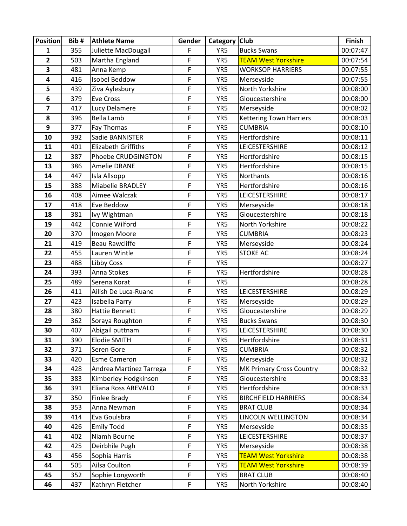| <b>Position</b>         | Bib#       | <b>Athlete Name</b>                     | Gender      | Category   | <b>Club</b>                                        | <b>Finish</b>        |
|-------------------------|------------|-----------------------------------------|-------------|------------|----------------------------------------------------|----------------------|
| 1                       | 355        | Juliette MacDougall                     | F           | YR5        | <b>Bucks Swans</b>                                 | 00:07:47             |
| $\overline{\mathbf{2}}$ | 503        | Martha England                          | F           | YR5        | <b>TEAM West Yorkshire</b>                         | 00:07:54             |
| 3                       | 481        | Anna Kemp                               | F           | YR5        | <b>WORKSOP HARRIERS</b>                            | 00:07:55             |
| 4                       | 416        | <b>Isobel Beddow</b>                    | F           | YR5        | Merseyside                                         | 00:07:55             |
| 5                       | 439        | Ziva Aylesbury                          | F           | YR5        | North Yorkshire                                    | 00:08:00             |
| 6                       | 379        | <b>Eve Cross</b>                        | F           | YR5        | Gloucestershire                                    | 00:08:00             |
| 7                       | 417        | Lucy Delamere                           | F           | YR5        | Merseyside                                         | 00:08:02             |
| 8                       | 396        | Bella Lamb                              | F           | YR5        | <b>Kettering Town Harriers</b>                     | 00:08:03             |
| 9                       | 377        | Fay Thomas                              | F           | YR5        | <b>CUMBRIA</b>                                     | 00:08:10             |
| 10                      | 392        | Sadie BANNISTER                         | F           | YR5        | Hertfordshire                                      | 00:08:11             |
| 11                      | 401        | <b>Elizabeth Griffiths</b>              | F           | YR5        | LEICESTERSHIRE                                     | 00:08:12             |
| 12                      | 387        | Phoebe CRUDGINGTON                      | F           | YR5        | Hertfordshire                                      | 00:08:15             |
| 13                      | 386        | <b>Amelie DRANE</b>                     | F           | YR5        | Hertfordshire                                      | 00:08:15             |
| 14                      | 447        | Isla Allsopp                            | F           | YR5        | Northants                                          | 00:08:16             |
| 15                      | 388        | Miabelie BRADLEY                        | F           | YR5        | Hertfordshire                                      | 00:08:16             |
| 16                      | 408        | Aimee Walczak                           | F           | YR5        | LEICESTERSHIRE                                     | 00:08:17             |
| 17                      | 418        | Eve Beddow                              | F           | YR5        | Merseyside                                         | 00:08:18             |
| 18                      | 381        | Ivy Wightman                            | F           | YR5        | Gloucestershire                                    | 00:08:18             |
| 19                      | 442        | Connie Wilford                          | F           | YR5        | North Yorkshire                                    | 00:08:22             |
| 20                      | 370        | Imogen Moore                            | F           | YR5        | <b>CUMBRIA</b>                                     | 00:08:23             |
| 21                      | 419        | <b>Beau Rawcliffe</b>                   | F           | YR5        | Merseyside                                         | 00:08:24             |
| 22                      | 455        | Lauren Wintle                           | F           | YR5        | <b>STOKE AC</b>                                    | 00:08:24             |
| 23                      | 488        | <b>Libby Coss</b>                       | F           | YR5        |                                                    | 00:08:27             |
| 24                      | 393        | Anna Stokes                             | F           | YR5        | Hertfordshire                                      | 00:08:28             |
| 25                      | 489        | Serena Korat                            | F           | YR5        |                                                    | 00:08:28             |
| 26                      | 411        | Ailish De Luca-Ruane                    | F           | YR5        | LEICESTERSHIRE                                     | 00:08:29             |
| 27                      | 423        | Isabella Parry                          | F           | YR5        | Merseyside                                         | 00:08:29             |
| 28                      | 380        | <b>Hattie Bennett</b>                   | F           | YR5        | Gloucestershire                                    | 00:08:29             |
| 29                      | 362        | Soraya Roughton                         | F           | YR5        | <b>Bucks Swans</b>                                 | 00:08:30             |
| 30                      | 407        | Abigail puttnam                         | F           | YR5        | LEICESTERSHIRE                                     | 00:08:30             |
| 31                      | 390        | Elodie SMITH                            | F           | YR5        | Hertfordshire                                      | 00:08:31             |
| 32                      | 371        | Seren Gore                              | F           | YR5        | <b>CUMBRIA</b>                                     | 00:08:32             |
| 33<br>34                | 420<br>428 | Esme Cameron<br>Andrea Martinez Tarrega | F<br>F      | YR5<br>YR5 | Merseyside                                         | 00:08:32<br>00:08:32 |
| 35                      | 383        | Kimberley Hodgkinson                    | F           | YR5        | <b>MK Primary Cross Country</b><br>Gloucestershire | 00:08:33             |
| 36                      | 391        | Eliana Ross AREVALO                     | F           | YR5        | Hertfordshire                                      | 00:08:33             |
| 37                      | 350        | Finlee Brady                            | F           | YR5        | <b>BIRCHFIELD HARRIERS</b>                         | 00:08:34             |
| 38                      | 353        | Anna Newman                             | $\mathsf F$ | YR5        | <b>BRAT CLUB</b>                                   | 00:08:34             |
| 39                      | 414        | Eva Goulsbra                            | F           | YR5        | LINCOLN WELLINGTON                                 | 00:08:34             |
| 40                      | 426        | <b>Emily Todd</b>                       | F           | YR5        | Merseyside                                         | 00:08:35             |
| 41                      | 402        | Niamh Bourne                            | F           | YR5        | LEICESTERSHIRE                                     | 00:08:37             |
| 42                      | 425        | Deirbhile Pugh                          | F           | YR5        | Merseyside                                         | 00:08:38             |
| 43                      | 456        | Sophia Harris                           | $\mathsf F$ | YR5        | <b>TEAM West Yorkshire</b>                         | 00:08:38             |
| 44                      | 505        | Ailsa Coulton                           | F           | YR5        | <b>TEAM West Yorkshire</b>                         | 00:08:39             |
| 45                      | 352        | Sophie Longworth                        | F           | YR5        | <b>BRAT CLUB</b>                                   | 00:08:40             |
| 46                      | 437        | Kathryn Fletcher                        | $\mathsf F$ | YR5        | North Yorkshire                                    | 00:08:40             |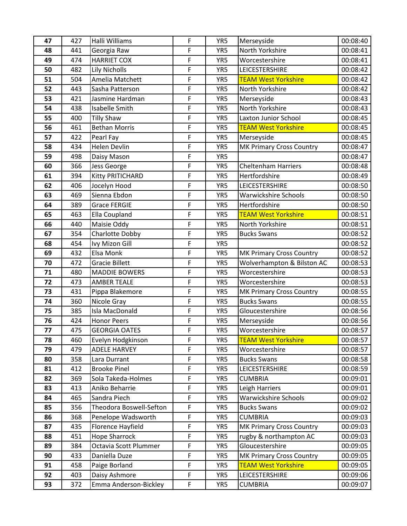| 47       | 427        | Halli Williams                      | $\mathsf F$                | YR5        | Merseyside                           | 00:08:40             |
|----------|------------|-------------------------------------|----------------------------|------------|--------------------------------------|----------------------|
| 48       | 441        | Georgia Raw                         | F                          | YR5        | North Yorkshire                      | 00:08:41             |
| 49       | 474        | <b>HARRIET COX</b>                  | $\mathsf F$                | YR5        | Worcestershire                       | 00:08:41             |
| 50       | 482        | <b>Lily Nicholls</b>                | $\mathsf F$                | YR5        | LEICESTERSHIRE                       | 00:08:42             |
| 51       | 504        | Amelia Matchett                     | $\mathsf F$                | YR5        | <b>TEAM West Yorkshire</b>           | 00:08:42             |
| 52       | 443        | Sasha Patterson                     | F                          | YR5        | North Yorkshire                      | 00:08:42             |
| 53       | 421        | Jasmine Hardman                     | $\mathsf F$                | YR5        | Merseyside                           | 00:08:43             |
| 54       | 438        | Isabelle Smith                      | $\mathsf F$                | YR5        | North Yorkshire                      | 00:08:43             |
| 55       | 400        | <b>Tilly Shaw</b>                   | $\mathsf F$                | YR5        | Laxton Junior School                 | 00:08:45             |
| 56       | 461        | <b>Bethan Morris</b>                | F                          | YR5        | <b>TEAM West Yorkshire</b>           | 00:08:45             |
| 57       | 422        | Pearl Fay                           | F                          | YR5        | Merseyside                           | 00:08:45             |
| 58       | 434        | <b>Helen Devlin</b>                 | F                          | YR5        | <b>MK Primary Cross Country</b>      | 00:08:47             |
| 59       | 498        | Daisy Mason                         | $\mathsf F$                | YR5        |                                      | 00:08:47             |
| 60       | 366        | Jess George                         | $\overline{F}$             | YR5        | <b>Cheltenham Harriers</b>           | 00:08:48             |
| 61       | 394        | Kitty PRITICHARD                    | F                          | YR5        | Hertfordshire                        | 00:08:49             |
| 62       | 406        | Jocelyn Hood                        | $\mathsf F$                | YR5        | LEICESTERSHIRE                       | 00:08:50             |
| 63       | 469        | Sienna Ebdon                        | $\mathsf F$                | YR5        | <b>Warwickshire Schools</b>          | 00:08:50             |
| 64       | 389        | <b>Grace FERGIE</b>                 | F                          | YR5        | Hertfordshire                        | 00:08:50             |
| 65       | 463        | Ella Coupland                       | F                          | YR5        | <b>TEAM West Yorkshire</b>           | 00:08:51             |
| 66       | 440        | Maisie Oddy                         | $\mathsf F$                | YR5        | North Yorkshire                      | 00:08:51             |
| 67       | 354        | Charlotte Dobby                     | F                          | YR5        | <b>Bucks Swans</b>                   | 00:08:52             |
| 68       | 454        | Ivy Mizon Gill                      | $\mathsf F$                | YR5        |                                      | 00:08:52             |
| 69       | 432        | Elsa Monk                           | $\mathsf F$                | YR5        | <b>MK Primary Cross Country</b>      | 00:08:52             |
| 70       | 472        | <b>Gracie Billett</b>               | $\mathsf F$                | YR5        | Wolverhampton & Bilston AC           | 00:08:53             |
| 71       | 480        | <b>MADDIE BOWERS</b>                | F                          | YR5        | Worcestershire                       | 00:08:53             |
| 72       | 473        | <b>AMBER TEALE</b>                  | $\mathsf F$                | YR5        | Worcestershire                       | 00:08:53             |
| 73       | 431        | Pippa Blakemore                     | $\mathsf F$                | YR5        | MK Primary Cross Country             | 00:08:55             |
| 74       | 360        | Nicole Gray                         | $\mathsf F$                | YR5        | <b>Bucks Swans</b>                   | 00:08:55             |
| 75       | 385        | Isla MacDonald                      | $\mathsf F$                | YR5        | Gloucestershire                      | 00:08:56             |
| 76       | 424        | <b>Honor Peers</b>                  | $\mathsf F$                | YR5        | Merseyside                           | 00:08:56             |
| 77       | 475        | <b>GEORGIA OATES</b>                | F                          | YR5        | Worcestershire                       | 00:08:57             |
| 78       | 460        | Evelyn Hodgkinson                   | $\mathsf F$                | YR5        | <b>TEAM West Yorkshire</b>           | 00:08:57             |
| 79       | 479        | <b>ADELE HARVEY</b>                 | F                          | YR5        | Worcestershire                       | 00:08:57             |
| 80       | 358<br>412 | Lara Durrant<br><b>Brooke Pinel</b> | $\mathsf F$<br>$\mathsf F$ | YR5<br>YR5 | <b>Bucks Swans</b><br>LEICESTERSHIRE | 00:08:58<br>00:08:59 |
| 81<br>82 | 369        | Sola Takeda-Holmes                  | $\mathsf F$                | YR5        | <b>CUMBRIA</b>                       | 00:09:01             |
| 83       | 413        | Aniko Beharrie                      | F                          | YR5        | Leigh Harriers                       | 00:09:01             |
| 84       | 465        | Sandra Piech                        | $\mathsf F$                | YR5        | Warwickshire Schools                 | 00:09:02             |
| 85       | 356        | Theodora Boswell-Sefton             | $\mathsf F$                | YR5        | <b>Bucks Swans</b>                   | 00:09:02             |
| 86       | 368        | Penelope Wadsworth                  | $\mathsf F$                | YR5        | <b>CUMBRIA</b>                       | 00:09:03             |
| 87       | 435        | Florence Hayfield                   | $\mathsf F$                | YR5        | <b>MK Primary Cross Country</b>      | 00:09:03             |
| 88       | 451        | <b>Hope Sharrock</b>                | $\mathsf F$                | YR5        | rugby & northampton AC               | 00:09:03             |
| 89       | 384        | Octavia Scott Plummer               | $\mathsf F$                | YR5        | Gloucestershire                      | 00:09:05             |
| 90       | 433        | Daniella Duze                       | $\mathsf F$                | YR5        | MK Primary Cross Country             | 00:09:05             |
| 91       | 458        | Paige Borland                       | $\mathsf F$                | YR5        | <b>TEAM West Yorkshire</b>           | 00:09:05             |
| 92       | 403        | Daisy Ashmore                       | $\mathsf F$                | YR5        | LEICESTERSHIRE                       | 00:09:06             |
| 93       | 372        | Emma Anderson-Bickley               | $\mathsf F$                | YR5        | <b>CUMBRIA</b>                       | 00:09:07             |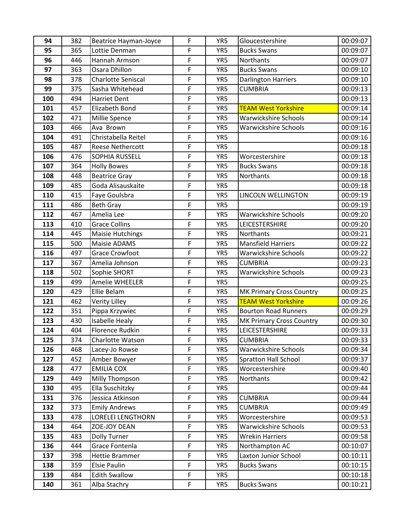| 94         | 382        | <b>Beatrice Hayman-Joyce</b>    | F           | YR5        | Gloucestershire                                        | 00:09:07             |
|------------|------------|---------------------------------|-------------|------------|--------------------------------------------------------|----------------------|
| 95         | 365        | Lottie Denman                   | F           | YR5        | <b>Bucks Swans</b>                                     | 00:09:07             |
| 96         | 446        | Hannah Armson                   | F           | YR5        | Northants                                              | 00:09:07             |
| 97         | 363        | Osara Dhillon                   | F           | YR5        | <b>Bucks Swans</b>                                     | 00:09:10             |
| 98         | 378        | <b>Charlotte Seniscal</b>       | F           | YR5        | <b>Darlington Harriers</b>                             | 00:09:10             |
| 99         | 375        | Sasha Whitehead                 | F           | YR5        | <b>CUMBRIA</b>                                         | 00:09:13             |
| 100        | 494        | Harriet Dent                    | F           | YR5        |                                                        | 00:09:13             |
| 101        | 457        | Elizabeth Bond                  | F           | YR5        | <b>TEAM West Yorkshire</b>                             | 00:09:14             |
| 102        | 471        | Millie Spence                   | F           | YR5        | <b>Warwickshire Schools</b>                            | 00:09:14             |
| 103        | 466        | Ava Brown                       | F           | YR5        | <b>Warwickshire Schools</b>                            | 00:09:16             |
| 104        | 491        | Christabella Reitel             | F           | YR5        |                                                        | 00:09:16             |
| 105        | 487        | Reese Nethercott                | F           | YR5        |                                                        | 00:09:18             |
| 106        | 476        | SOPHIA RUSSELL                  | F           | YR5        | Worcestershire                                         | 00:09:18             |
| 107        | 364        | <b>Holly Bowes</b>              | F           | YR5        | <b>Bucks Swans</b>                                     | 00:09:18             |
| 108        | 448        | <b>Beatrice Gray</b>            | F           | YR5        | Northants                                              | 00:09:18             |
| 109        | 485        | Goda Alisauskaite               | F           | YR5        |                                                        | 00:09:18             |
| 110        | 415        | Faye Goulsbra                   | F           | YR5        | LINCOLN WELLINGTON                                     | 00:09:19             |
| 111        | 486        | <b>Beth Gray</b>                | F           | YR5        |                                                        | 00:09:19             |
| 112        | 467        | Amelia Lee                      | F           | YR5        | <b>Warwickshire Schools</b>                            | 00:09:20             |
| 113        | 410        | <b>Grace Collins</b>            | F           | YR5        | LEICESTERSHIRE                                         | 00:09:20             |
| 114        | 445        | <b>Maisie Hutchings</b>         | F           | YR5        | Northants                                              | 00:09:21             |
| 115        | 500        | Maisie ADAMS                    | F           | YR5        | <b>Mansfield Harriers</b>                              | 00:09:22             |
| 116        | 497        | <b>Grace Crowfoot</b>           | F           | YR5        | Warwickshire Schools                                   | 00:09:22             |
| 117        | 367        | Amelia Johnson                  | F           | YR5        | <b>CUMBRIA</b>                                         | 00:09:23             |
| 118        | 502        | Sophie SHORT                    | F           | YR5        | Warwickshire Schools                                   | 00:09:23             |
| 119        | 499        | Amelie WHEELER                  | F           | YR5        |                                                        | 00:09:25             |
| 120<br>121 | 429<br>462 | Ellie Belam                     | F<br>F      | YR5<br>YR5 | MK Primary Cross Country<br><b>TEAM West Yorkshire</b> | 00:09:25<br>00:09:26 |
| 122        | 351        | Verity Lilley<br>Pippa Krzywiec | F           | YR5        | <b>Bourton Road Runners</b>                            | 00:09:29             |
| 123        | 430        | Isabelle Healy                  | $\mathsf F$ | YR5        | <b>MK Primary Cross Country</b>                        | 00:09:30             |
| 124        | 404        | <b>Florence Rudkin</b>          | F           | YR5        | LEICESTERSHIRE                                         | 00:09:33             |
| 125        | 374        | Charlotte Watson                | F           | YR5        | <b>CUMBRIA</b>                                         | 00:09:33             |
| 126        | 468        | Lacey-Jo Rowse                  | F           | YR5        | Warwickshire Schools                                   | 00:09:34             |
| 127        | 452        | Amber Bowyer                    | $\mathsf F$ | YR5        | <b>Spratton Hall School</b>                            | 00:09:37             |
| 128        | 477        | <b>EMILIA COX</b>               | F           | YR5        | Worcestershire                                         | 00:09:40             |
| 129        | 449        | Milly Thompson                  | F           | YR5        | Northants                                              | 00:09:42             |
| 130        | 495        | Ella Suschitzky                 | F           | YR5        |                                                        | 00:09:44             |
| 131        | 376        | Jessica Atkinson                | F           | YR5        | <b>CUMBRIA</b>                                         | 00:09:44             |
| 132        | 373        | <b>Emily Andrews</b>            | F           | YR5        | <b>CUMBRIA</b>                                         | 00:09:49             |
| 133        | 478        | <b>LORELEI LENGTHORN</b>        | F           | YR5        | Worcestershire                                         | 00:09:53             |
| 134        | 464        | ZOE-JOY DEAN                    | F           | YR5        | Warwickshire Schools                                   | 00:09:53             |
| 135        | 483        | <b>Dolly Turner</b>             | F           | YR5        | <b>Wrekin Harriers</b>                                 | 00:09:58             |
| 136        | 444        | Grace Fontenla                  | F           | YR5        | Northampton AC                                         | 00:10:07             |
| 137        | 398        | Hettie Brammer                  | F           | YR5        | Laxton Junior School                                   | 00:10:11             |
| 138        | 359        | Elsie Paulin                    | F           | YR5        | <b>Bucks Swans</b>                                     | 00:10:15             |
| 139        | 484        | <b>Edith Swallow</b>            | F           | YR5        |                                                        | 00:10:18             |
| 140        | 361        | Alba Stachry                    | $\mathsf F$ | YR5        | <b>Bucks Swans</b>                                     | 00:10:21             |